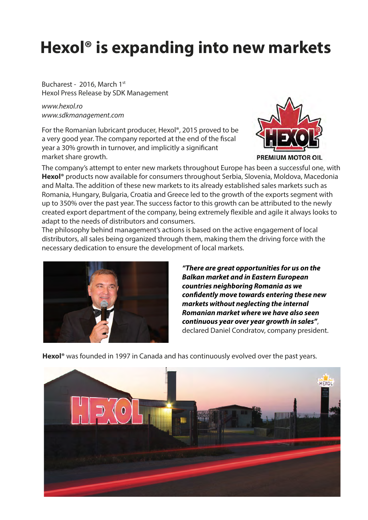## **Hexol® is expanding into new markets**

Bucharest - 2016, March 1st Hexol Press Release by SDK Management

*www.hexol.ro www.sdkmanagement.com*

For the Romanian lubricant producer, Hexol®, 2015 proved to be a very good year. The company reported at the end of the fiscal year a 30% growth in turnover, and implicitly a significant market share growth.



The company's attempt to enter new markets throughout Europe has been a successful one, with **Hexol®** products now available for consumers throughout Serbia, Slovenia, Moldova, Macedonia and Malta. The addition of these new markets to its already established sales markets such as Romania, Hungary, Bulgaria, Croatia and Greece led to the growth of the exports segment with up to 350% over the past year. The success factor to this growth can be attributed to the newly created export department of the company, being extremely flexible and agile it always looks to adapt to the needs of distributors and consumers.

The philosophy behind management's actions is based on the active engagement of local distributors, all sales being organized through them, making them the driving force with the necessary dedication to ensure the development of local markets.



*"There are great opportunities for us on the Balkan market and in Eastern European countries neighboring Romania as we condently move towards entering these new markets without neglecting the internal Romanian market where we have also seen continuous year over year growth in sales"*, declared Daniel Condratov, company president.

**Hexol®** was founded in 1997 in Canada and has continuously evolved over the past years.